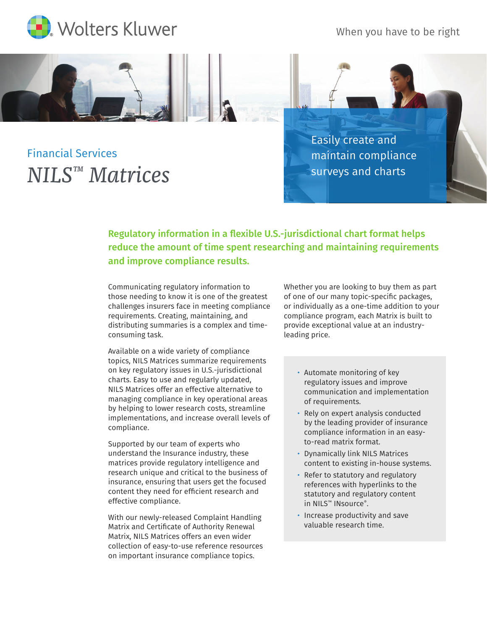

When you have to be right

## Financial Services *NILS™ Matrices*

Easily create and maintain compliance surveys and charts

Regulatory information in a flexible U.S.-jurisdictional chart format helps reduce the amount of time spent researching and maintaining requirements and improve compliance results.

Communicating regulatory information to those needing to know it is one of the greatest challenges insurers face in meeting compliance requirements. Creating, maintaining, and distributing summaries is a complex and timeconsuming task.

Available on a wide variety of compliance topics, NILS Matrices summarize requirements on key regulatory issues in U.S.-jurisdictional charts. Easy to use and regularly updated, NILS Matrices offer an effective alternative to managing compliance in key operational areas by helping to lower research costs, streamline implementations, and increase overall levels of compliance.

Supported by our team of experts who understand the Insurance industry, these matrices provide regulatory intelligence and research unique and critical to the business of insurance, ensuring that users get the focused content they need for efficient research and effective compliance.

With our newly-released Complaint Handling Matrix and Certificate of Authority Renewal Matrix, NILS Matrices offers an even wider collection of easy-to-use reference resources on important insurance compliance topics.

Whether you are looking to buy them as part of one of our many topic-specific packages, or individually as a one-time addition to your compliance program, each Matrix is built to provide exceptional value at an industryleading price.

- Automate monitoring of key regulatory issues and improve communication and implementation of requirements.
- Rely on expert analysis conducted by the leading provider of insurance compliance information in an easyto-read matrix format.
- Dynamically link NILS Matrices content to existing in-house systems.
- Refer to statutory and regulatory references with hyperlinks to the statutory and regulatory content in NILS<sup>™</sup> INsource®.
- Increase productivity and save valuable research time.